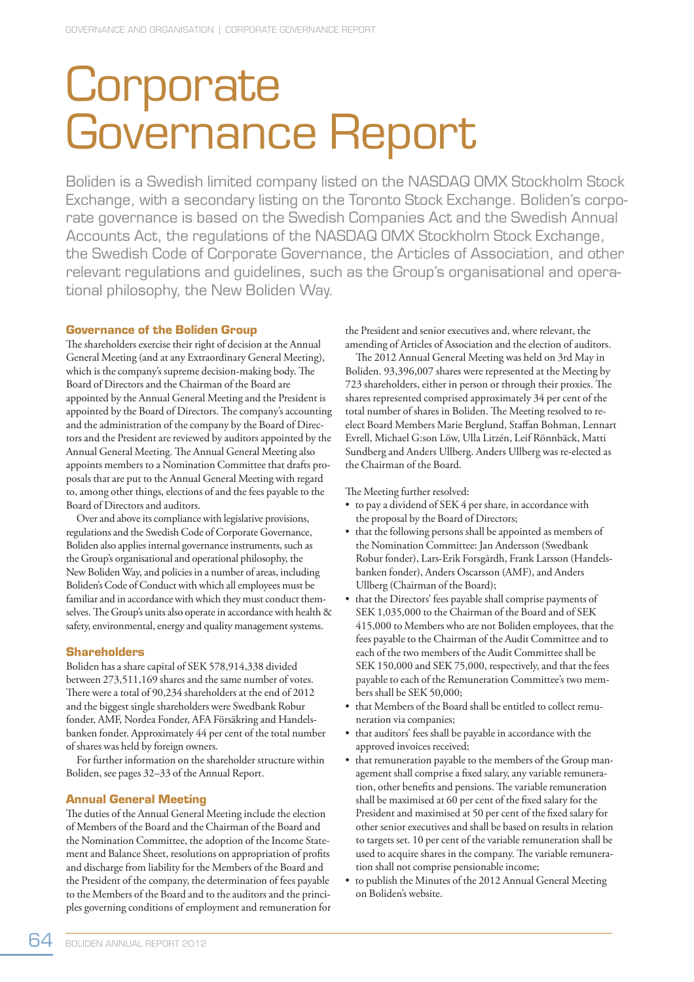# **Corporate** Governance Report

Boliden is a Swedish limited company listed on the NASDAQ OMX Stockholm Stock Exchange, with a secondary listing on the Toronto Stock Exchange. Boliden's corporate governance is based on the Swedish Companies Act and the Swedish Annual Accounts Act, the regulations of the NASDAQ OMX Stockholm Stock Exchange, the Swedish Code of Corporate Governance, the Articles of Association, and other relevant regulations and guidelines, such as the Group's organisational and operational philosophy, the New Boliden Way.

# **Governance of the Boliden Group**

The shareholders exercise their right of decision at the Annual General Meeting (and at any Extraordinary General Meeting), which is the company's supreme decision-making body. The Board of Directors and the Chairman of the Board are appointed by the Annual General Meeting and the President is appointed by the Board of Directors. The company's accounting and the administration of the company by the Board of Directors and the President are reviewed by auditors appointed by the Annual General Meeting. The Annual General Meeting also appoints members to a Nomination Committee that drafts proposals that are put to the Annual General Meeting with regard to, among other things, elections of and the fees payable to the Board of Directors and auditors.

Over and above its compliance with legislative provisions, regulations and the Swedish Code of Corporate Governance, Boliden also applies internal governance instruments, such as the Group's organisational and operational philosophy, the New Boliden Way, and policies in a number of areas, including Boliden's Code of Conduct with which all employees must be familiar and in accordance with which they must conduct themselves. The Group's units also operate in accordance with health & safety, environmental, energy and quality management systems.

#### **Shareholders**

Boliden has a share capital of SEK 578,914,338 divided between 273,511,169 shares and the same number of votes. There were a total of 90,234 shareholders at the end of 2012 and the biggest single shareholders were Swedbank Robur fonder, AMF, Nordea Fonder, AFA Försäkring and Handelsbanken fonder. Approximately 44 per cent of the total number of shares was held by foreign owners.

For further information on the shareholder structure within Boliden, see pages 32–33 of the Annual Report.

# **Annual General Meeting**

The duties of the Annual General Meeting include the election of Members of the Board and the Chairman of the Board and the Nomination Committee, the adoption of the Income Statement and Balance Sheet, resolutions on appropriation of profits and discharge from liability for the Members of the Board and the President of the company, the determination of fees payable to the Members of the Board and to the auditors and the principles governing conditions of employment and remuneration for

the President and senior executives and, where relevant, the amending of Articles of Association and the election of auditors.

The 2012 Annual General Meeting was held on 3rd May in Boliden. 93,396,007 shares were represented at the Meeting by 723 shareholders, either in person or through their proxies. The shares represented comprised approximately 34 per cent of the total number of shares in Boliden. The Meeting resolved to reelect Board Members Marie Berglund, Staffan Bohman, Lennart Evrell, Michael G:son Löw, Ulla Litzén, Leif Rönnbäck, Matti Sundberg and Anders Ullberg. Anders Ullberg was re-elected as the Chairman of the Board.

The Meeting further resolved:

- to pay a dividend of SEK 4 per share, in accordance with the proposal by the Board of Directors;
- that the following persons shall be appointed as members of the Nomination Committee: Jan Andersson (Swedbank Robur fonder), Lars-Erik Forsgårdh, Frank Larsson (Handelsbanken fonder), Anders Oscarsson (AMF), and Anders Ullberg (Chairman of the Board);
- that the Directors' fees payable shall comprise payments of SEK 1,035,000 to the Chairman of the Board and of SEK 415,000 to Members who are not Boliden employees, that the fees payable to the Chairman of the Audit Committee and to each of the two members of the Audit Committee shall be SEK 150,000 and SEK 75,000, respectively, and that the fees payable to each of the Remuneration Committee's two members shall be SEK 50,000;
- that Members of the Board shall be entitled to collect remuneration via companies;
- that auditors' fees shall be payable in accordance with the approved invoices received;
- that remuneration payable to the members of the Group management shall comprise a fixed salary, any variable remuneration, other benefits and pensions. The variable remuneration shall be maximised at 60 per cent of the fixed salary for the President and maximised at 50 per cent of the fixed salary for other senior executives and shall be based on results in relation to targets set. 10 per cent of the variable remuneration shall be used to acquire shares in the company. The variable remuneration shall not comprise pensionable income;
- to publish the Minutes of the 2012 Annual General Meeting on Boliden's website.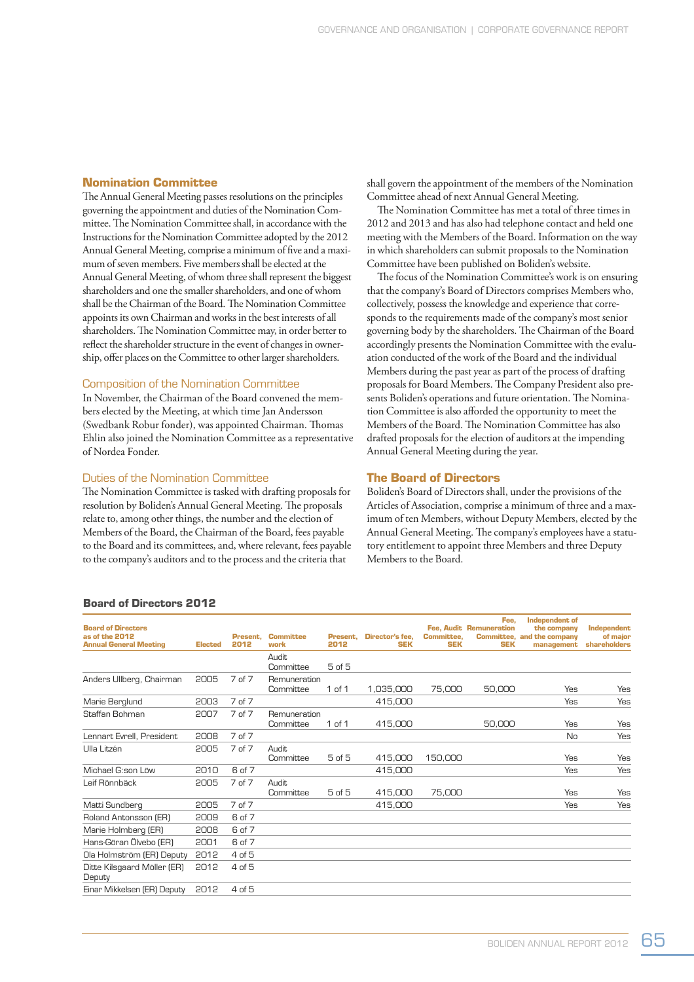#### **Nomination Committee**

The Annual General Meeting passes resolutions on the principles governing the appointment and duties of the Nomination Committee. The Nomination Committee shall, in accordance with the Instructions for the Nomination Committee adopted by the 2012 Annual General Meeting, comprise a minimum of five and a maximum of seven members. Five members shall be elected at the Annual General Meeting, of whom three shall represent the biggest shareholders and one the smaller shareholders, and one of whom shall be the Chairman of the Board. The Nomination Committee appoints its own Chairman and works in the best interests of all shareholders. The Nomination Committee may, in order better to reflect the shareholder structure in the event of changes in ownership, offer places on the Committee to other larger shareholders.

# Composition of the Nomination Committee

In November, the Chairman of the Board convened the members elected by the Meeting, at which time Jan Andersson (Swedbank Robur fonder), was appointed Chairman. Thomas Ehlin also joined the Nomination Committee as a representative of Nordea Fonder.

### Duties of the Nomination Committee

The Nomination Committee is tasked with drafting proposals for resolution by Boliden's Annual General Meeting. The proposals relate to, among other things, the number and the election of Members of the Board, the Chairman of the Board, fees payable to the Board and its committees, and, where relevant, fees payable to the company's auditors and to the process and the criteria that

shall govern the appointment of the members of the Nomination Committee ahead of next Annual General Meeting.

The Nomination Committee has met a total of three times in 2012 and 2013 and has also had telephone contact and held one meeting with the Members of the Board. Information on the way in which shareholders can submit proposals to the Nomination Committee have been published on Boliden's website.

The focus of the Nomination Committee's work is on ensuring that the company's Board of Directors comprises Members who, collectively, possess the knowledge and experience that corresponds to the requirements made of the company's most senior governing body by the shareholders. The Chairman of the Board accordingly presents the Nomination Committee with the evaluation conducted of the work of the Board and the individual Members during the past year as part of the process of drafting proposals for Board Members. The Company President also presents Boliden's operations and future orientation. The Nomination Committee is also afforded the opportunity to meet the Members of the Board. The Nomination Committee has also drafted proposals for the election of auditors at the impending Annual General Meeting during the year.

#### **The Board of Directors**

Boliden's Board of Directors shall, under the provisions of the Articles of Association, comprise a minimum of three and a maximum of ten Members, without Deputy Members, elected by the Annual General Meeting. The company's employees have a statutory entitlement to appoint three Members and three Deputy Members to the Board.

| <b>Board of Directors</b><br>as of the 2012<br><b>Annual General Meeting</b> | <b>Elected</b> | Present.<br>2012  | <b>Committee</b><br>work  | Present.<br>2012 | Director's fee,<br><b>SEK</b> | <b>Committee.</b><br><b>SEK</b> | Fee.<br><b>Fee. Audit Remuneration</b><br><b>SEK</b> | <b>Independent of</b><br>the company<br><b>Committee, and the company</b><br>management | Independent<br>of maior<br>shareholders |
|------------------------------------------------------------------------------|----------------|-------------------|---------------------------|------------------|-------------------------------|---------------------------------|------------------------------------------------------|-----------------------------------------------------------------------------------------|-----------------------------------------|
|                                                                              |                |                   | <b>Audit</b><br>Committee | $5$ of $5$       |                               |                                 |                                                      |                                                                                         |                                         |
| Anders Ullberg, Chairman                                                     | 2005           | 7 of 7            | Remuneration<br>Committee | 1 of 1           | 1,035,000                     | 75,000                          | 50,000                                               | Yes                                                                                     | Yes                                     |
| Marie Berglund                                                               | 2003           | 7 of 7            |                           |                  | 415,000                       |                                 |                                                      | Yes                                                                                     | Yes                                     |
| Staffan Bohman                                                               | 2007           | 7 <sub>of</sub> 7 | Remuneration<br>Committee | 1 of 1           | 415,000                       |                                 | 50,000                                               | Yes                                                                                     | Yes                                     |
| Lennart Evrell, President                                                    | 2008           | 7 of 7            |                           |                  |                               |                                 |                                                      | No                                                                                      | Yes                                     |
| Ulla Litzén                                                                  | 2005           | 7 <sub>of</sub> 7 | <b>Audit</b><br>Committee | 5 of 5           | 415,000                       | 150,000                         |                                                      | Yes                                                                                     | Yes                                     |
| Michael G:son Löw                                                            | 2010           | 6 of 7            |                           |                  | 415,000                       |                                 |                                                      | Yes                                                                                     | Yes                                     |
| Leif Rönnbäck                                                                | 2005           | 7 <sub>of</sub> 7 | <b>Audit</b><br>Committee | $5$ of $5$       | 415,000                       | 75,000                          |                                                      | Yes                                                                                     | Yes                                     |
| Matti Sundberg                                                               | 2005           | 7 <sub>of</sub> 7 |                           |                  | 415,000                       |                                 |                                                      | Yes                                                                                     | Yes                                     |
| Roland Antonsson (ER)                                                        | 2009           | 6 of 7            |                           |                  |                               |                                 |                                                      |                                                                                         |                                         |
| Marie Holmberg (ER)                                                          | 2008           | 6 of 7            |                           |                  |                               |                                 |                                                      |                                                                                         |                                         |
| Hans-Göran Ölvebo (ER)                                                       | 2001           | 6 of 7            |                           |                  |                               |                                 |                                                      |                                                                                         |                                         |
| Ola Holmström (ER) Deputy                                                    | 2012           | 4 of 5            |                           |                  |                               |                                 |                                                      |                                                                                         |                                         |
| Ditte Kilsgaard Möller (ER)<br>Deputy                                        | 2012           | 4 of 5            |                           |                  |                               |                                 |                                                      |                                                                                         |                                         |
| Einar Mikkelsen (ER) Deputy                                                  | 2012           | 4 of 5            |                           |                  |                               |                                 |                                                      |                                                                                         |                                         |

#### **Board of Directors 2012**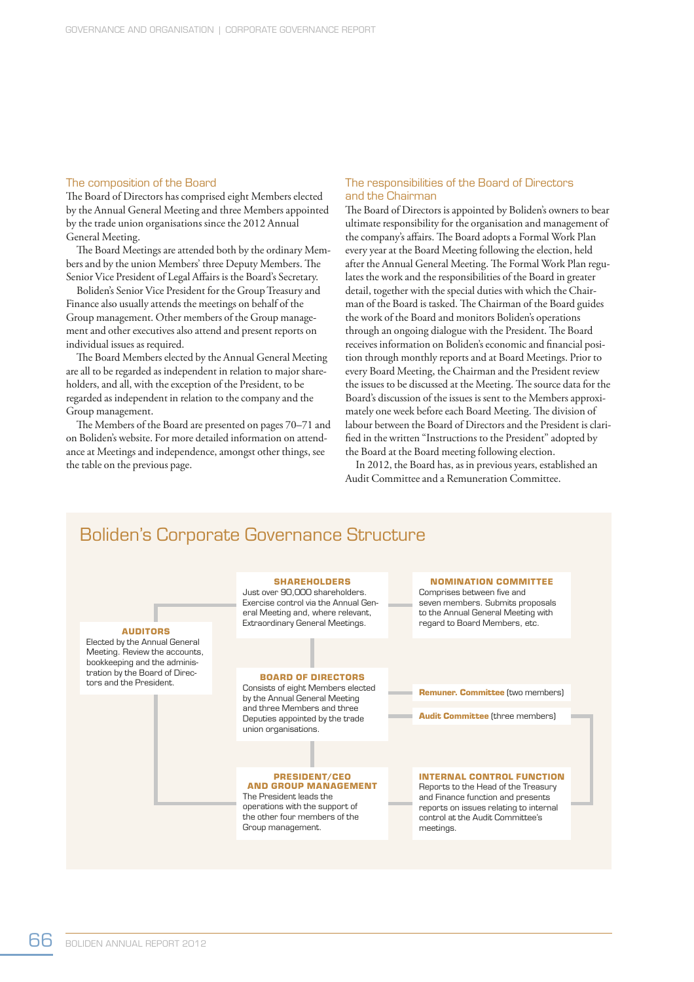#### The composition of the Board

The Board of Directors has comprised eight Members elected by the Annual General Meeting and three Members appointed by the trade union organisations since the 2012 Annual General Meeting.

The Board Meetings are attended both by the ordinary Members and by the union Members' three Deputy Members. The Senior Vice President of Legal Affairs is the Board's Secretary.

Boliden's Senior Vice President for the Group Treasury and Finance also usually attends the meetings on behalf of the Group management. Other members of the Group management and other executives also attend and present reports on individual issues as required.

The Board Members elected by the Annual General Meeting are all to be regarded as independent in relation to major shareholders, and all, with the exception of the President, to be regarded as independent in relation to the company and the Group management.

The Members of the Board are presented on pages 70–71 and on Boliden's website. For more detailed information on attendance at Meetings and independence, amongst other things, see the table on the previous page.

#### The responsibilities of the Board of Directors and the Chairman

The Board of Directors is appointed by Boliden's owners to bear ultimate responsibility for the organisation and management of the company's affairs. The Board adopts a Formal Work Plan every year at the Board Meeting following the election, held after the Annual General Meeting. The Formal Work Plan regulates the work and the responsibilities of the Board in greater detail, together with the special duties with which the Chairman of the Board is tasked. The Chairman of the Board guides the work of the Board and monitors Boliden's operations through an ongoing dialogue with the President. The Board receives information on Boliden's economic and financial position through monthly reports and at Board Meetings. Prior to every Board Meeting, the Chairman and the President review the issues to be discussed at the Meeting. The source data for the Board's discussion of the issues is sent to the Members approximately one week before each Board Meeting. The division of labour between the Board of Directors and the President is clarified in the written "Instructions to the President" adopted by the Board at the Board meeting following election.

In 2012, the Board has, as in previous years, established an Audit Committee and a Remuneration Committee.

# Boliden's Corporate Governance Structure

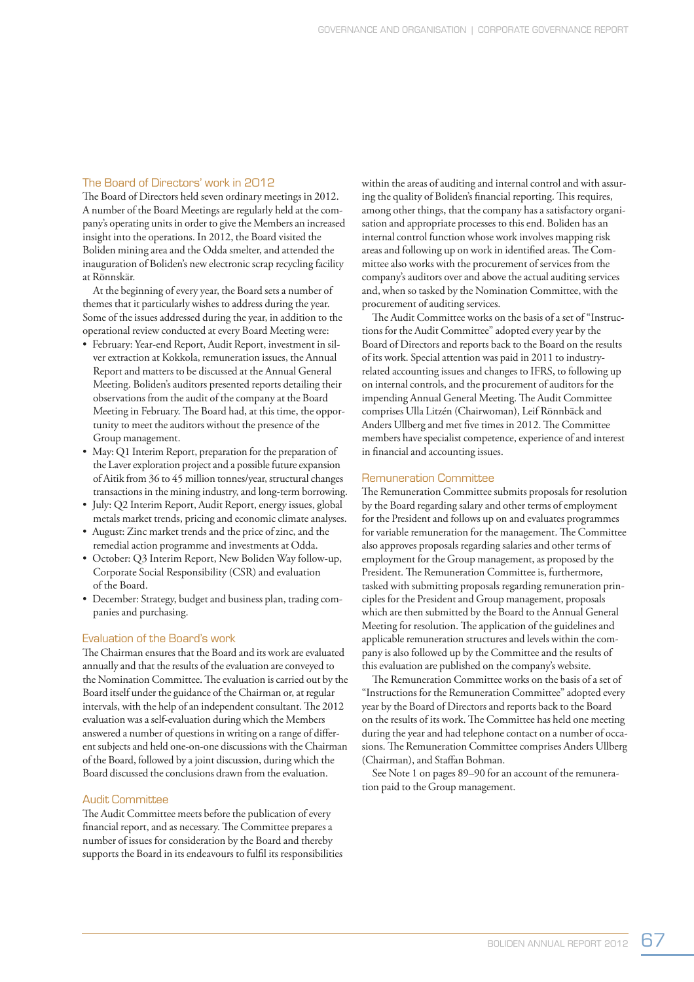# The Board of Directors' work in 2012

The Board of Directors held seven ordinary meetings in 2012. A number of the Board Meetings are regularly held at the company's operating units in order to give the Members an increased insight into the operations. In 2012, the Board visited the Boliden mining area and the Odda smelter, and attended the inauguration of Boliden's new electronic scrap recycling facility at Rönnskär.

At the beginning of every year, the Board sets a number of themes that it particularly wishes to address during the year. Some of the issues addressed during the year, in addition to the operational review conducted at every Board Meeting were:

- February: Year-end Report, Audit Report, investment in silver extraction at Kokkola, remuneration issues, the Annual Report and matters to be discussed at the Annual General Meeting. Boliden's auditors presented reports detailing their observations from the audit of the company at the Board Meeting in February. The Board had, at this time, the opportunity to meet the auditors without the presence of the Group management.
- May: Q1 Interim Report, preparation for the preparation of the Laver exploration project and a possible future expansion of Aitik from 36 to 45 million tonnes/year, structural changes transactions in the mining industry, and long-term borrowing.
- July: Q2 Interim Report, Audit Report, energy issues, global metals market trends, pricing and economic climate analyses.
- August: Zinc market trends and the price of zinc, and the remedial action programme and investments at Odda.
- October: Q3 Interim Report, New Boliden Way follow-up, Corporate Social Responsibility (CSR) and evaluation of the Board.
- December: Strategy, budget and business plan, trading companies and purchasing.

#### Evaluation of the Board's work

The Chairman ensures that the Board and its work are evaluated annually and that the results of the evaluation are conveyed to the Nomination Committee. The evaluation is carried out by the Board itself under the guidance of the Chairman or, at regular intervals, with the help of an independent consultant. The 2012 evaluation was a self-evaluation during which the Members answered a number of questions in writing on a range of different subjects and held one-on-one discussions with the Chairman of the Board, followed by a joint discussion, during which the Board discussed the conclusions drawn from the evaluation.

# Audit Committee

The Audit Committee meets before the publication of every financial report, and as necessary. The Committee prepares a number of issues for consideration by the Board and thereby supports the Board in its endeavours to fulfil its responsibilities within the areas of auditing and internal control and with assuring the quality of Boliden's financial reporting. This requires, among other things, that the company has a satisfactory organisation and appropriate processes to this end. Boliden has an internal control function whose work involves mapping risk areas and following up on work in identified areas. The Committee also works with the procurement of services from the company's auditors over and above the actual auditing services and, when so tasked by the Nomination Committee, with the procurement of auditing services.

The Audit Committee works on the basis of a set of "Instructions for the Audit Committee" adopted every year by the Board of Directors and reports back to the Board on the results of its work. Special attention was paid in 2011 to industryrelated accounting issues and changes to IFRS, to following up on internal controls, and the procurement of auditors for the impending Annual General Meeting. The Audit Committee comprises Ulla Litzén (Chairwoman), Leif Rönnbäck and Anders Ullberg and met five times in 2012. The Committee members have specialist competence, experience of and interest in financial and accounting issues.

# Remuneration Committee

The Remuneration Committee submits proposals for resolution by the Board regarding salary and other terms of employment for the President and follows up on and evaluates programmes for variable remuneration for the management. The Committee also approves proposals regarding salaries and other terms of employment for the Group management, as proposed by the President. The Remuneration Committee is, furthermore, tasked with submitting proposals regarding remuneration principles for the President and Group management, proposals which are then submitted by the Board to the Annual General Meeting for resolution. The application of the guidelines and applicable remuneration structures and levels within the company is also followed up by the Committee and the results of this evaluation are published on the company's website.

The Remuneration Committee works on the basis of a set of "Instructions for the Remuneration Committee" adopted every year by the Board of Directors and reports back to the Board on the results of its work. The Committee has held one meeting during the year and had telephone contact on a number of occasions. The Remuneration Committee comprises Anders Ullberg (Chairman), and Staffan Bohman.

See Note 1 on pages 89–90 for an account of the remuneration paid to the Group management.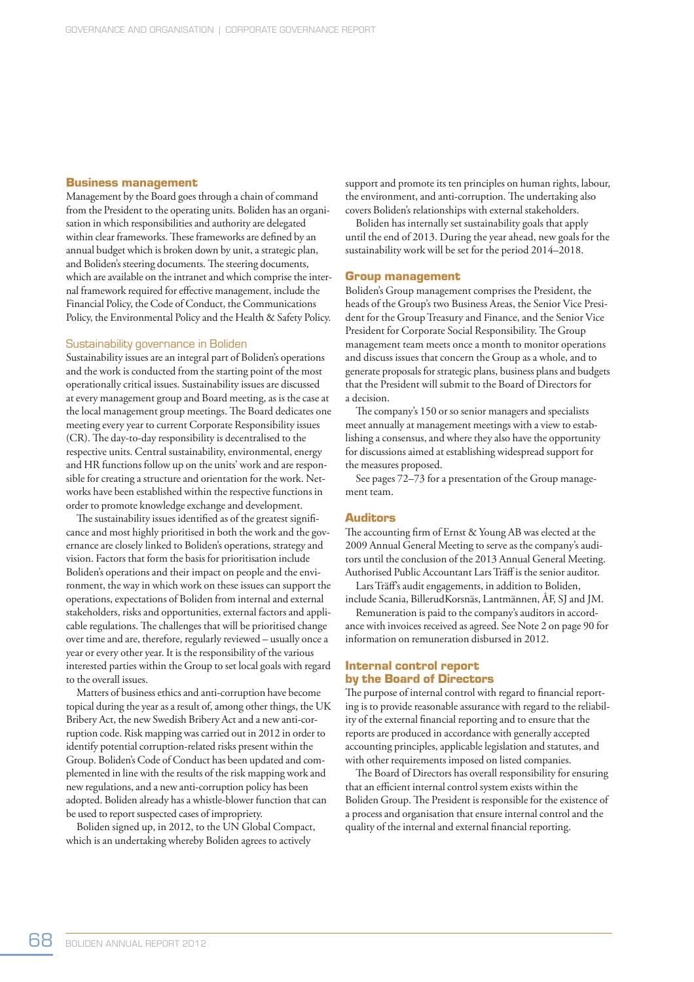# **Business management**

Management by the Board goes through a chain of command from the President to the operating units. Boliden has an organisation in which responsibilities and authority are delegated within clear frameworks. These frameworks are defined by an annual budget which is broken down by unit, a strategic plan, and Boliden's steering documents. The steering documents, which are available on the intranet and which comprise the internal framework required for effective management, include the Financial Policy, the Code of Conduct, the Communications Policy, the Environmental Policy and the Health & Safety Policy.

# Sustainability governance in Boliden

Sustainability issues are an integral part of Boliden's operations and the work is conducted from the starting point of the most operationally critical issues. Sustainability issues are discussed at every management group and Board meeting, as is the case at the local management group meetings. The Board dedicates one meeting every year to current Corporate Responsibility issues (CR). The day-to-day responsibility is decentralised to the respective units. Central sustainability, environmental, energy and HR functions follow up on the units' work and are responsible for creating a structure and orientation for the work. Networks have been established within the respective functions in order to promote knowledge exchange and development.

The sustainability issues identified as of the greatest significance and most highly prioritised in both the work and the governance are closely linked to Boliden's operations, strategy and vision. Factors that form the basis for prioritisation include Boliden's operations and their impact on people and the environment, the way in which work on these issues can support the operations, expectations of Boliden from internal and external stakeholders, risks and opportunities, external factors and applicable regulations. The challenges that will be prioritised change over time and are, therefore, regularly reviewed – usually once a year or every other year. It is the responsibility of the various interested parties within the Group to set local goals with regard to the overall issues.

Matters of business ethics and anti-corruption have become topical during the year as a result of, among other things, the UK Bribery Act, the new Swedish Bribery Act and a new anti-corruption code. Risk mapping was carried out in 2012 in order to identify potential corruption-related risks present within the Group. Boliden's Code of Conduct has been updated and complemented in line with the results of the risk mapping work and new regulations, and a new anti-corruption policy has been adopted. Boliden already has a whistle-blower function that can be used to report suspected cases of impropriety.

Boliden signed up, in 2012, to the UN Global Compact, which is an undertaking whereby Boliden agrees to actively

support and promote its ten principles on human rights, labour, the environment, and anti-corruption. The undertaking also covers Boliden's relationships with external stakeholders.

Boliden has internally set sustainability goals that apply until the end of 2013. During the year ahead, new goals for the sustainability work will be set for the period 2014–2018.

# **Group management**

Boliden's Group management comprises the President, the heads of the Group's two Business Areas, the Senior Vice President for the Group Treasury and Finance, and the Senior Vice President for Corporate Social Responsibility. The Group management team meets once a month to monitor operations and discuss issues that concern the Group as a whole, and to generate proposals for strategic plans, business plans and budgets that the President will submit to the Board of Directors for a decision.

The company's 150 or so senior managers and specialists meet annually at management meetings with a view to establishing a consensus, and where they also have the opportunity for discussions aimed at establishing widespread support for the measures proposed.

See pages 72–73 for a presentation of the Group management team.

#### **Auditors**

The accounting firm of Ernst & Young AB was elected at the 2009 Annual General Meeting to serve as the company's auditors until the conclusion of the 2013 Annual General Meeting. Authorised Public Accountant Lars Träff is the senior auditor.

Lars Träff's audit engagements, in addition to Boliden, include Scania, BillerudKorsnäs, Lantmännen, ÅF, SJ and JM.

Remuneration is paid to the company's auditors in accordance with invoices received as agreed. See Note 2 on page 90 for information on remuneration disbursed in 2012.

### **Internal control report by the Board of Directors**

The purpose of internal control with regard to financial reporting is to provide reasonable assurance with regard to the reliability of the external financial reporting and to ensure that the reports are produced in accordance with generally accepted accounting principles, applicable legislation and statutes, and with other requirements imposed on listed companies.

The Board of Directors has overall responsibility for ensuring that an efficient internal control system exists within the Boliden Group. The President is responsible for the existence of a process and organisation that ensure internal control and the quality of the internal and external financial reporting.